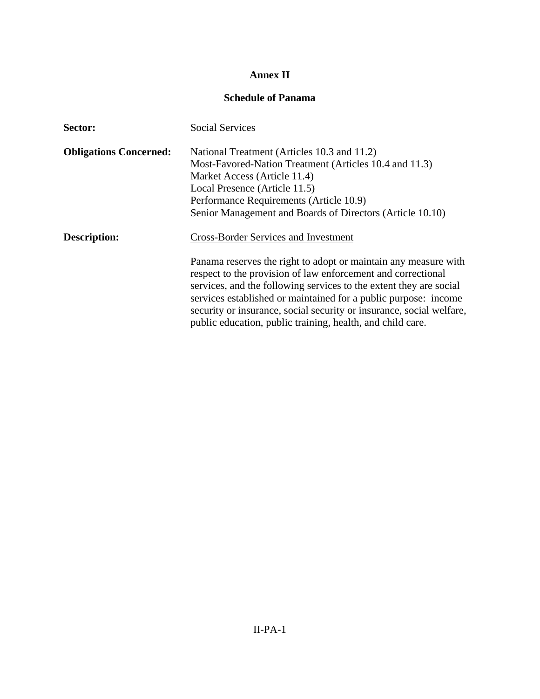## **Annex II**

## **Schedule of Panama**

| Sector:                       | <b>Social Services</b>                                                                                                                                                                                |
|-------------------------------|-------------------------------------------------------------------------------------------------------------------------------------------------------------------------------------------------------|
| <b>Obligations Concerned:</b> | National Treatment (Articles 10.3 and 11.2)                                                                                                                                                           |
|                               | Most-Favored-Nation Treatment (Articles 10.4 and 11.3)                                                                                                                                                |
|                               | Market Access (Article 11.4)                                                                                                                                                                          |
|                               | Local Presence (Article 11.5)                                                                                                                                                                         |
|                               | Performance Requirements (Article 10.9)                                                                                                                                                               |
|                               | Senior Management and Boards of Directors (Article 10.10)                                                                                                                                             |
| <b>Description:</b>           | <b>Cross-Border Services and Investment</b>                                                                                                                                                           |
|                               | Panama reserves the right to adopt or maintain any measure with<br>respect to the provision of law enforcement and correctional<br>services, and the following services to the extent they are social |
|                               | services established or maintained for a public purpose: income<br>security or insurance, social security or insurance, social welfare,<br>public education, public training, health, and child care. |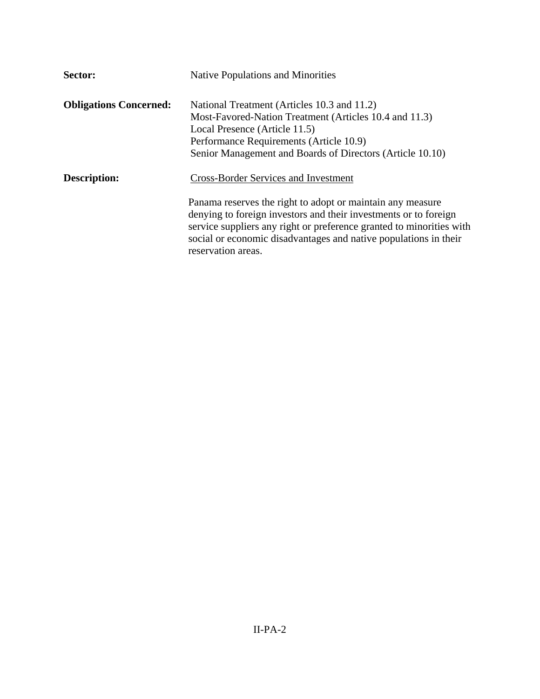| Sector:                       | <b>Native Populations and Minorities</b>                                                                                                                                                                                                                                                         |
|-------------------------------|--------------------------------------------------------------------------------------------------------------------------------------------------------------------------------------------------------------------------------------------------------------------------------------------------|
| <b>Obligations Concerned:</b> | National Treatment (Articles 10.3 and 11.2)<br>Most-Favored-Nation Treatment (Articles 10.4 and 11.3)                                                                                                                                                                                            |
|                               | Local Presence (Article 11.5)                                                                                                                                                                                                                                                                    |
|                               | Performance Requirements (Article 10.9)                                                                                                                                                                                                                                                          |
|                               | Senior Management and Boards of Directors (Article 10.10)                                                                                                                                                                                                                                        |
| Description:                  | <b>Cross-Border Services and Investment</b>                                                                                                                                                                                                                                                      |
|                               | Panama reserves the right to adopt or maintain any measure<br>denying to foreign investors and their investments or to foreign<br>service suppliers any right or preference granted to minorities with<br>social or economic disadvantages and native populations in their<br>reservation areas. |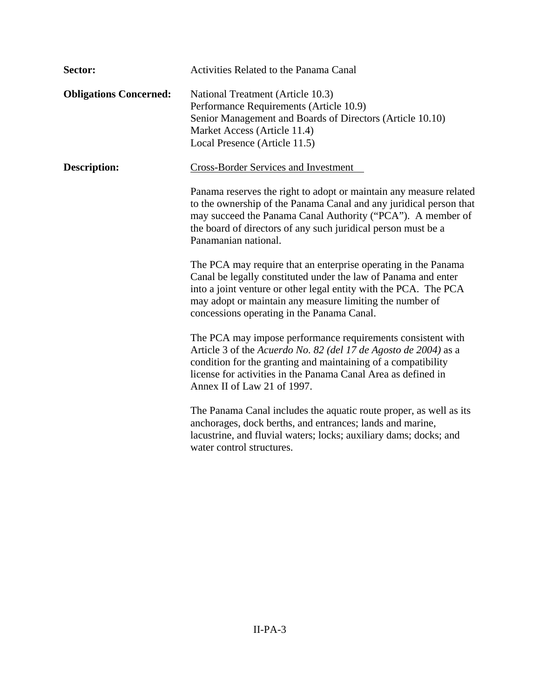| Sector:                       | Activities Related to the Panama Canal                                                                                                                                                                                                                                                                         |
|-------------------------------|----------------------------------------------------------------------------------------------------------------------------------------------------------------------------------------------------------------------------------------------------------------------------------------------------------------|
| <b>Obligations Concerned:</b> | National Treatment (Article 10.3)<br>Performance Requirements (Article 10.9)<br>Senior Management and Boards of Directors (Article 10.10)<br>Market Access (Article 11.4)<br>Local Presence (Article 11.5)                                                                                                     |
| <b>Description:</b>           | <b>Cross-Border Services and Investment</b>                                                                                                                                                                                                                                                                    |
|                               | Panama reserves the right to adopt or maintain any measure related<br>to the ownership of the Panama Canal and any juridical person that<br>may succeed the Panama Canal Authority ("PCA"). A member of<br>the board of directors of any such juridical person must be a<br>Panamanian national.               |
|                               | The PCA may require that an enterprise operating in the Panama<br>Canal be legally constituted under the law of Panama and enter<br>into a joint venture or other legal entity with the PCA. The PCA<br>may adopt or maintain any measure limiting the number of<br>concessions operating in the Panama Canal. |
|                               | The PCA may impose performance requirements consistent with<br>Article 3 of the Acuerdo No. 82 (del 17 de Agosto de 2004) as a<br>condition for the granting and maintaining of a compatibility<br>license for activities in the Panama Canal Area as defined in<br>Annex II of Law 21 of 1997.                |
|                               | The Panama Canal includes the aquatic route proper, as well as its<br>anchorages, dock berths, and entrances; lands and marine,<br>lacustrine, and fluvial waters; locks; auxiliary dams; docks; and<br>water control structures.                                                                              |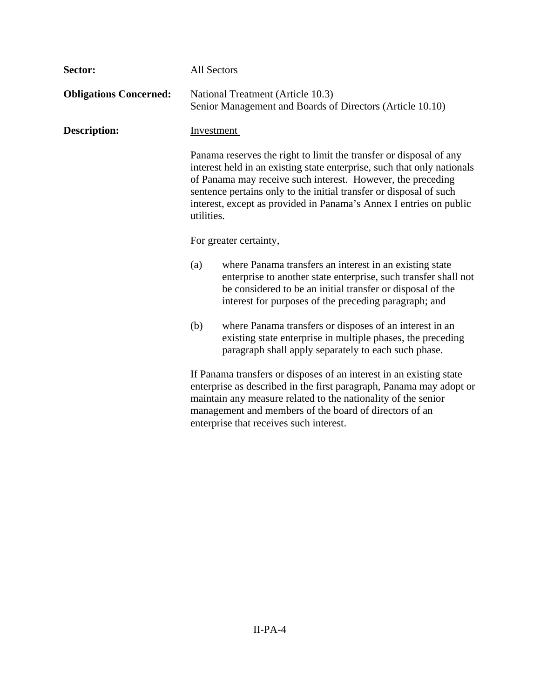| Sector:                       | All Sectors                                                                                                                                                                                                                                                                                                                                                            |                                                                                                                                                                                                                                                                                                                  |
|-------------------------------|------------------------------------------------------------------------------------------------------------------------------------------------------------------------------------------------------------------------------------------------------------------------------------------------------------------------------------------------------------------------|------------------------------------------------------------------------------------------------------------------------------------------------------------------------------------------------------------------------------------------------------------------------------------------------------------------|
| <b>Obligations Concerned:</b> |                                                                                                                                                                                                                                                                                                                                                                        | National Treatment (Article 10.3)<br>Senior Management and Boards of Directors (Article 10.10)                                                                                                                                                                                                                   |
| <b>Description:</b>           | Investment                                                                                                                                                                                                                                                                                                                                                             |                                                                                                                                                                                                                                                                                                                  |
|                               | Panama reserves the right to limit the transfer or disposal of any<br>interest held in an existing state enterprise, such that only nationals<br>of Panama may receive such interest. However, the preceding<br>sentence pertains only to the initial transfer or disposal of such<br>interest, except as provided in Panama's Annex I entries on public<br>utilities. |                                                                                                                                                                                                                                                                                                                  |
|                               | For greater certainty,                                                                                                                                                                                                                                                                                                                                                 |                                                                                                                                                                                                                                                                                                                  |
|                               | (a)                                                                                                                                                                                                                                                                                                                                                                    | where Panama transfers an interest in an existing state<br>enterprise to another state enterprise, such transfer shall not<br>be considered to be an initial transfer or disposal of the<br>interest for purposes of the preceding paragraph; and                                                                |
|                               | (b)                                                                                                                                                                                                                                                                                                                                                                    | where Panama transfers or disposes of an interest in an<br>existing state enterprise in multiple phases, the preceding<br>paragraph shall apply separately to each such phase.                                                                                                                                   |
|                               |                                                                                                                                                                                                                                                                                                                                                                        | If Panama transfers or disposes of an interest in an existing state<br>enterprise as described in the first paragraph, Panama may adopt or<br>maintain any measure related to the nationality of the senior<br>management and members of the board of directors of an<br>enterprise that receives such interest. |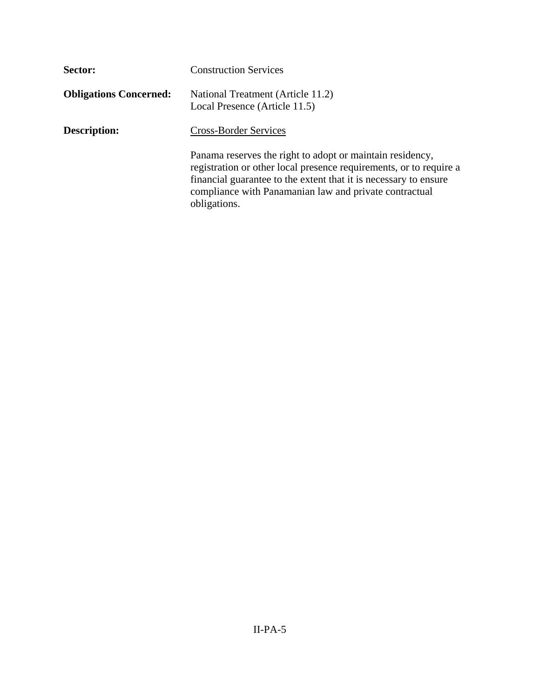| Sector:                       | <b>Construction Services</b>                                                                                                                                                                                                                                                  |
|-------------------------------|-------------------------------------------------------------------------------------------------------------------------------------------------------------------------------------------------------------------------------------------------------------------------------|
| <b>Obligations Concerned:</b> | National Treatment (Article 11.2)<br>Local Presence (Article 11.5)                                                                                                                                                                                                            |
| <b>Description:</b>           | <b>Cross-Border Services</b>                                                                                                                                                                                                                                                  |
|                               | Panama reserves the right to adopt or maintain residency,<br>registration or other local presence requirements, or to require a<br>financial guarantee to the extent that it is necessary to ensure<br>compliance with Panamanian law and private contractual<br>obligations. |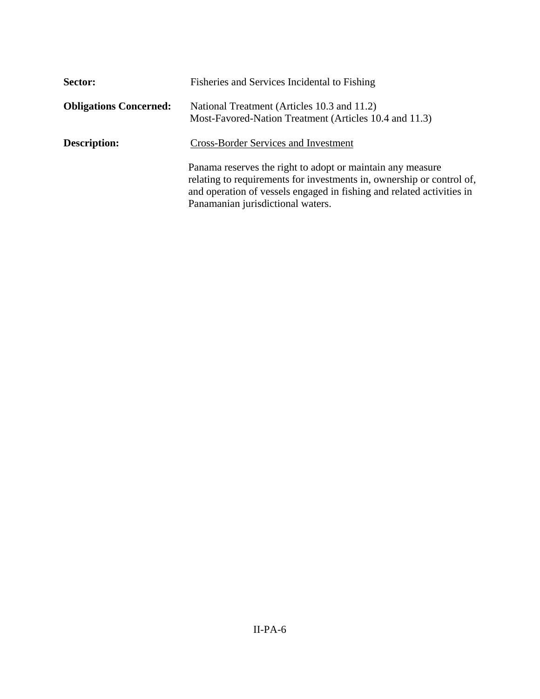| Sector:                       | Fisheries and Services Incidental to Fishing                                                                                                                                                                                                      |
|-------------------------------|---------------------------------------------------------------------------------------------------------------------------------------------------------------------------------------------------------------------------------------------------|
| <b>Obligations Concerned:</b> | National Treatment (Articles 10.3 and 11.2)<br>Most-Favored-Nation Treatment (Articles 10.4 and 11.3)                                                                                                                                             |
| <b>Description:</b>           | <b>Cross-Border Services and Investment</b>                                                                                                                                                                                                       |
|                               | Panama reserves the right to adopt or maintain any measure<br>relating to requirements for investments in, ownership or control of,<br>and operation of vessels engaged in fishing and related activities in<br>Panamanian jurisdictional waters. |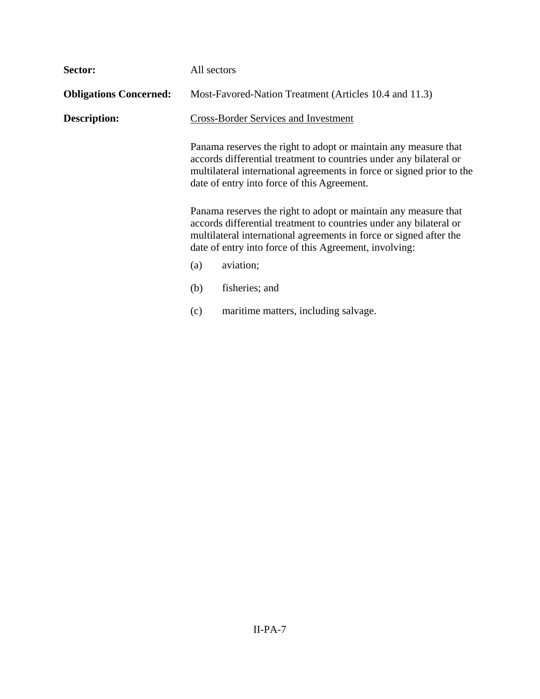| Sector:                       | All sectors                                                                                                                                                                                                                                                           |                                                                                                                                                                                                                                                               |
|-------------------------------|-----------------------------------------------------------------------------------------------------------------------------------------------------------------------------------------------------------------------------------------------------------------------|---------------------------------------------------------------------------------------------------------------------------------------------------------------------------------------------------------------------------------------------------------------|
| <b>Obligations Concerned:</b> |                                                                                                                                                                                                                                                                       | Most-Favored-Nation Treatment (Articles 10.4 and 11.3)                                                                                                                                                                                                        |
| <b>Description:</b>           | <b>Cross-Border Services and Investment</b>                                                                                                                                                                                                                           |                                                                                                                                                                                                                                                               |
|                               |                                                                                                                                                                                                                                                                       | Panama reserves the right to adopt or maintain any measure that<br>accords differential treatment to countries under any bilateral or<br>multilateral international agreements in force or signed prior to the<br>date of entry into force of this Agreement. |
|                               | Panama reserves the right to adopt or maintain any measure that<br>accords differential treatment to countries under any bilateral or<br>multilateral international agreements in force or signed after the<br>date of entry into force of this Agreement, involving: |                                                                                                                                                                                                                                                               |
|                               | (a)                                                                                                                                                                                                                                                                   | aviation;                                                                                                                                                                                                                                                     |
|                               | (b)                                                                                                                                                                                                                                                                   | fisheries; and                                                                                                                                                                                                                                                |
|                               | (c)                                                                                                                                                                                                                                                                   | maritime matters, including salvage.                                                                                                                                                                                                                          |